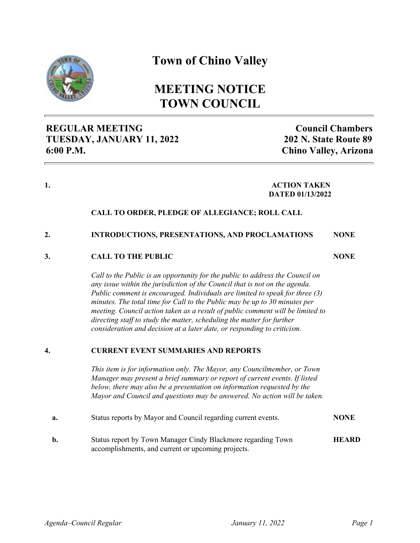

## **Town of Chino Valley**

# **MEETING NOTICE TOWN COUNCIL**

## **REGULAR MEETING TUESDAY, JANUARY 11, 2022 6:00 P.M.**

**Council Chambers 202 N. State Route 89 Chino Valley, Arizona**

**NONE**

#### **1. ACTION TAKEN DATED 01/13/2022**

### **CALL TO ORDER, PLEDGE OF ALLEGIANCE; ROLL CALL**

#### **2. INTRODUCTIONS, PRESENTATIONS, AND PROCLAMATIONS NONE**

#### **3. CALL TO THE PUBLIC**

*Call to the Public is an opportunity for the public to address the Council on any issue within the jurisdiction of the Council that is not on the agenda. Public comment is encouraged. Individuals are limited to speak for three (3) minutes. The total time for Call to the Public may be up to 30 minutes per meeting. Council action taken as a result of public comment will be limited to directing staff to study the matter, scheduling the matter for further consideration and decision at a later date, or responding to criticism.* 

#### **4. CURRENT EVENT SUMMARIES AND REPORTS**

*This item is for information only. The Mayor, any Councilmember, or Town Manager may present a brief summary or report of current events. If listed below, there may also be a presentation on information requested by the Mayor and Council and questions may be answered. No action will be taken.*

| <b>NONE</b>  |
|--------------|
| <b>HEARD</b> |
|              |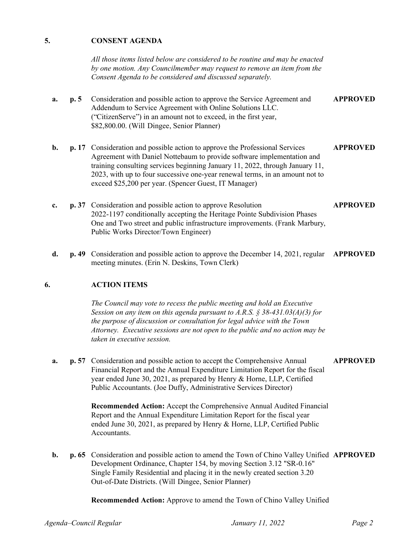#### **5. CONSENT AGENDA**

*All those items listed below are considered to be routine and may be enacted by one motion. Any Councilmember may request to remove an item from the Consent Agenda to be considered and discussed separately.*

- **a. p. 5** Consideration and possible action to approve the Service Agreement and Addendum to Service Agreement with Online Solutions LLC. ("CitizenServe") in an amount not to exceed, in the first year, \$82,800.00. (Will Dingee, Senior Planner) **APPROVED**
- **b. p. 17** Consideration and possible action to approve the Professional Services Agreement with Daniel Nottebaum to provide software implementation and training consulting services beginning January 11, 2022, through January 11, 2023, with up to four successive one-year renewal terms, in an amount not to exceed \$25,200 per year. (Spencer Guest, IT Manager) **APPROVED**
- **c. p. 37** Consideration and possible action to approve Resolution 2022-1197 conditionally accepting the Heritage Pointe Subdivision Phases One and Two street and public infrastructure improvements. (Frank Marbury, Public Works Director/Town Engineer) **APPROVED**
- **d. p. 49** Consideration and possible action to approve the December 14, 2021, regular **APPROVED** meeting minutes. (Erin N. Deskins, Town Clerk)

#### **6. ACTION ITEMS**

*The Council may vote to recess the public meeting and hold an Executive Session on any item on this agenda pursuant to A.R.S. § 38-431.03(A)(3) for the purpose of discussion or consultation for legal advice with the Town Attorney. Executive sessions are not open to the public and no action may be taken in executive session.*

**a. p. 57** Consideration and possible action to accept the Comprehensive Annual Financial Report and the Annual Expenditure Limitation Report for the fiscal year ended June 30, 2021, as prepared by Henry & Horne, LLP, Certified Public Accountants. (Joe Duffy, Administrative Services Director) **APPROVED**

> **Recommended Action:** Accept the Comprehensive Annual Audited Financial Report and the Annual Expenditure Limitation Report for the fiscal year ended June 30, 2021, as prepared by Henry & Horne, LLP, Certified Public Accountants.

**b. p. 65** Consideration and possible action to amend the Town of Chino Valley Unified **APPROVED** Development Ordinance, Chapter 154, by moving Section 3.12 "SR-0.16" Single Family Residential and placing it in the newly created section 3.20 Out-of-Date Districts. (Will Dingee, Senior Planner)

**Recommended Action:** Approve to amend the Town of Chino Valley Unified